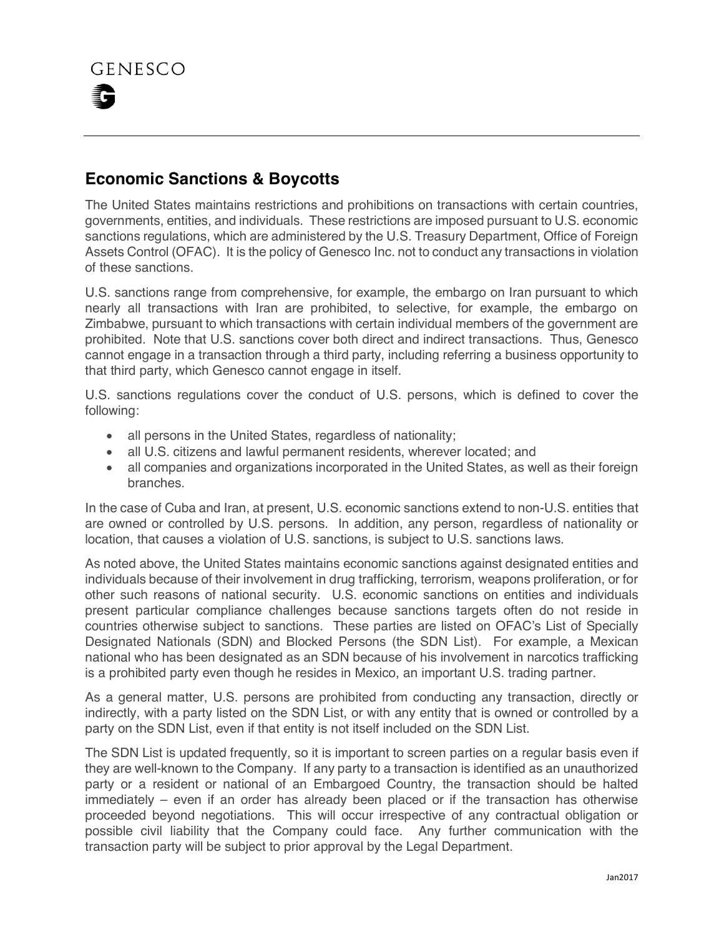## **Economic Sanctions & Boycotts**

The United States maintains restrictions and prohibitions on transactions with certain countries, governments, entities, and individuals. These restrictions are imposed pursuant to U.S. economic sanctions regulations, which are administered by the U.S. Treasury Department, Office of Foreign Assets Control (OFAC). It is the policy of Genesco Inc. not to conduct any transactions in violation of these sanctions.

U.S. sanctions range from comprehensive, for example, the embargo on Iran pursuant to which nearly all transactions with Iran are prohibited, to selective, for example, the embargo on Zimbabwe, pursuant to which transactions with certain individual members of the government are prohibited. Note that U.S. sanctions cover both direct and indirect transactions. Thus, Genesco cannot engage in a transaction through a third party, including referring a business opportunity to that third party, which Genesco cannot engage in itself.

U.S. sanctions regulations cover the conduct of U.S. persons, which is defined to cover the following:

- all persons in the United States, regardless of nationality;
- all U.S. citizens and lawful permanent residents, wherever located; and
- all companies and organizations incorporated in the United States, as well as their foreign branches.

In the case of Cuba and Iran, at present, U.S. economic sanctions extend to non-U.S. entities that are owned or controlled by U.S. persons. In addition, any person, regardless of nationality or location, that causes a violation of U.S. sanctions, is subject to U.S. sanctions laws.

As noted above, the United States maintains economic sanctions against designated entities and individuals because of their involvement in drug trafficking, terrorism, weapons proliferation, or for other such reasons of national security. U.S. economic sanctions on entities and individuals present particular compliance challenges because sanctions targets often do not reside in countries otherwise subject to sanctions. These parties are listed on OFAC's List of Specially Designated Nationals (SDN) and Blocked Persons (the SDN List). For example, a Mexican national who has been designated as an SDN because of his involvement in narcotics trafficking is a prohibited party even though he resides in Mexico, an important U.S. trading partner.

As a general matter, U.S. persons are prohibited from conducting any transaction, directly or indirectly, with a party listed on the SDN List, or with any entity that is owned or controlled by a party on the SDN List, even if that entity is not itself included on the SDN List.

The SDN List is updated frequently, so it is important to screen parties on a regular basis even if they are well-known to the Company. If any party to a transaction is identified as an unauthorized party or a resident or national of an Embargoed Country, the transaction should be halted immediately – even if an order has already been placed or if the transaction has otherwise proceeded beyond negotiations. This will occur irrespective of any contractual obligation or possible civil liability that the Company could face. Any further communication with the transaction party will be subject to prior approval by the Legal Department.